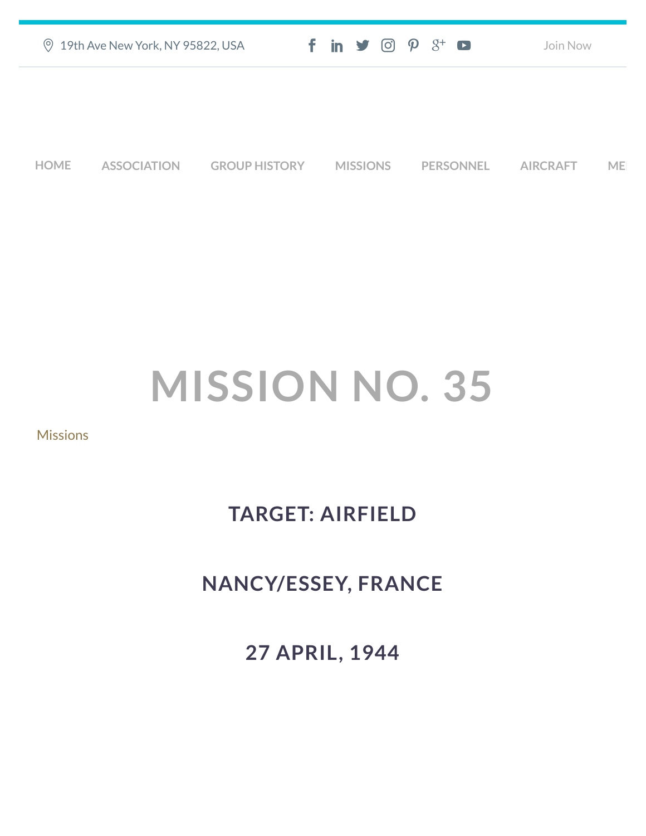| ◎ 19th Ave New York, NY 95822, USA | $f$ in $\blacktriangleright$ $\heartsuit$ $\varnothing$ $\varnothing^*$ $\blacktriangleright$ | Join Now |
|------------------------------------|-----------------------------------------------------------------------------------------------|----------|
|                                    |                                                                                               |          |
|                                    |                                                                                               |          |
|                                    |                                                                                               |          |

**[HOME](https://457thbombgroupassoc.org/)** [ASSOCIATION](https://457thbombgroupassoc.org/mission-no-35/#) [GROUP HISTORY](https://457thbombgroupassoc.org/mission-no-35/#) [MISSIONS](https://457thbombgroupassoc.org/mission-no-35/#) [PERSONNEL](https://457thbombgroupassoc.org/mission-no-35/#) [AIRCRAFT](https://457thbombgroupassoc.org/mission-no-35/#) [MED](https://457thbombgroupassoc.org/mission-no-35/#)

## **MISSION NO. 35**

## **[Missions](https://457thbombgroupassoc.org/category/missions/)**

## **TARGET: AIRFIELD**

## **NANCY/ESSEY, FRANCE**

**27 APRIL, 1944**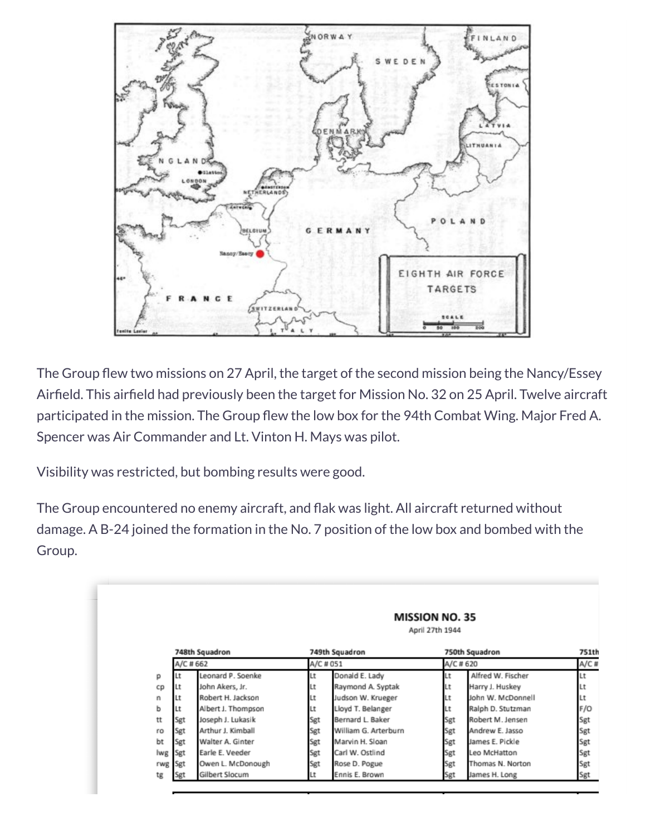

The Group flew two missions on 27 April, the target of the second mission being the Nancy/Essey Airfield. This airfield had previously been the target for Mission No. 32 on 25 April. Twelve aircraft participated in the mission. The Group flew the low box for the 94th Combat Wing. Major Fred A. Spencer was Air Commander and Lt. Vinton H. Mays was pilot.

Visibility was restricted, but bombing results were good.

The Group encountered no enemy aircraft, and flak was light. All aircraft returned without damage. A B-24 joined the formation in the No. 7 position of the low box and bombed with the Group.

|     |           |                    |           |                      | <b>MISSION NO. 35</b><br>April 27th 1944 |                   |       |
|-----|-----------|--------------------|-----------|----------------------|------------------------------------------|-------------------|-------|
|     |           | 748th Squadron     |           | 749th Squadron       |                                          | 750th Squadron    | 751th |
|     | A/C # 662 |                    | A/C # 051 |                      | A/C #620                                 |                   | A/C#  |
| р   |           | Leonard P. Soenke  | Lt        | Donald E. Lady       | Lt                                       | Alfred W. Fischer | Lt    |
| cp  | Lt        | John Akers, Jr.    | Lt        | Raymond A. Syptak    | Lt                                       | Harry J. Huskey   | Lt    |
| n   | Lt        | Robert H. Jackson  | Lt        | Judson W. Krueger    | Lt                                       | John W. McDonnell | Lt    |
| ь   |           | Albert J. Thompson | Lt        | Lloyd T. Belanger    | Lt                                       | Ralph D. Stutzman | F/O   |
| tt  | Sgt       | Joseph J. Lukasik  | Sgt       | Bernard L. Baker     | Sgt                                      | Robert M. Jensen  | Sgt   |
| ro  | Sgt       | Arthur J. Kimball  | Sgt       | William G. Arterburn | Sgt                                      | Andrew E. Jasso   | Sgt   |
| bt  | Sgt       | Walter A. Ginter   | Sgt       | Marvin H. Sloan      | Sgt                                      | James E. Pickle   | Sgt   |
| lwg | Sgt       | Earle E. Veeder    | Sgt       | Carl W. Ostlind      | Sgt                                      | Leo McHatton      | Sgt   |
| rwg | Sgt       | Owen L. McDonough  | Sgt       | Rose D. Pogue        | Sgt                                      | Thomas N. Norton  | Sgt   |
| tg  | Sgt       | Gilbert Slocum     | Lt        | Ennis E. Brown       | Sgt                                      | James H. Long     | Sgt   |